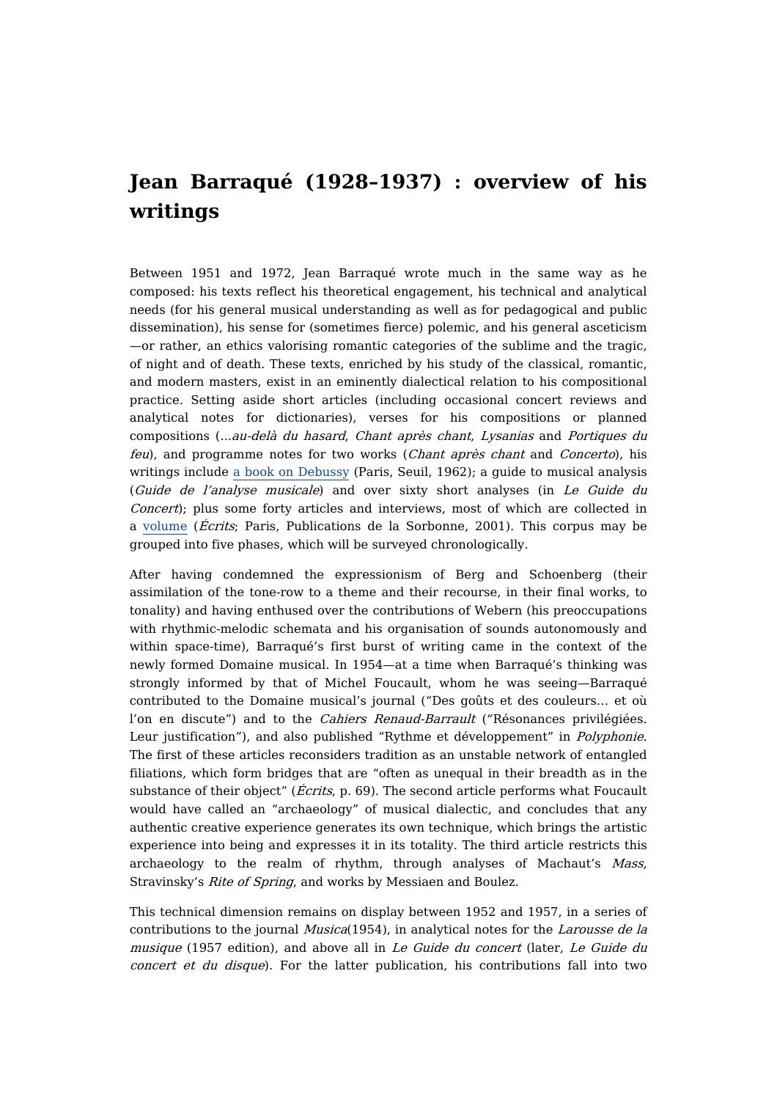## **Jean Barraqué (1928–1937) : overview of his writings**

Between 1951 and 1972, Jean Barraqué wrote much in the same way as he composed: his texts reflect his theoretical engagement, his technical and analytical needs (for his general musical understanding as well as for pedagogical and public dissemination), his sense for (sometimes fierce) polemic, and his general asceticism —or rather, an ethics valorising romantic categories of the sublime and the tragic, of night and of death. These texts, enriched by his study of the classical, romantic, and modern masters, exist in an eminently dialectical relation to his compositional practice. Setting aside short articles (including occasional concert reviews and analytical notes for dictionaries), verses for his compositions or planned compositions (...au-delà du hasard, Chant après chant, Lysanias and Portiques du feu), and programme notes for two works (Chant après chant and Concerto), his writings include a book on [Debussy](https://dicteco.huma-num.fr/fr/book/43524) (Paris, Seuil, 1962); a guide to musical analysis (Guide de l'analyse musicale) and over sixty short analyses (in Le Guide du Concert); plus some forty articles and interviews, most of which are collected in a [volume](https://dicteco.huma-num.fr/fr/anthology/43516) (Écrits; Paris, Publications de la Sorbonne, 2001). This corpus may be grouped into five phases, which will be surveyed chronologically.

After having condemned the expressionism of Berg and Schoenberg (their assimilation of the tone-row to a theme and their recourse, in their final works, to tonality) and having enthused over the contributions of Webern (his preoccupations with rhythmic-melodic schemata and his organisation of sounds autonomously and within space-time), Barraqué's first burst of writing came in the context of the newly formed Domaine musical. In 1954—at a time when Barraqué's thinking was strongly informed by that of Michel Foucault, whom he was seeing—Barraqué contributed to the Domaine musical's journal ("Des goûts et des couleurs… et où l'on en discute") and to the *Cahiers Renaud-Barrault* ("Résonances privilégiées. Leur justification"), and also published "Rythme et développement" in *Polyphonie*. The first of these articles reconsiders tradition as an unstable network of entangled filiations, which form bridges that are "often as unequal in their breadth as in the substance of their object" (*Écrits*, p. 69). The second article performs what Foucault would have called an "archaeology" of musical dialectic, and concludes that any authentic creative experience generates its own technique, which brings the artistic experience into being and expresses it in its totality. The third article restricts this archaeology to the realm of rhythm, through analyses of Machaut's Mass, Stravinsky's Rite of Spring, and works by Messiaen and Boulez.

This technical dimension remains on display between 1952 and 1957, in a series of contributions to the journal Musica(1954), in analytical notes for the Larousse de la musique (1957 edition), and above all in Le Guide du concert (later, Le Guide du concert et du disque). For the latter publication, his contributions fall into two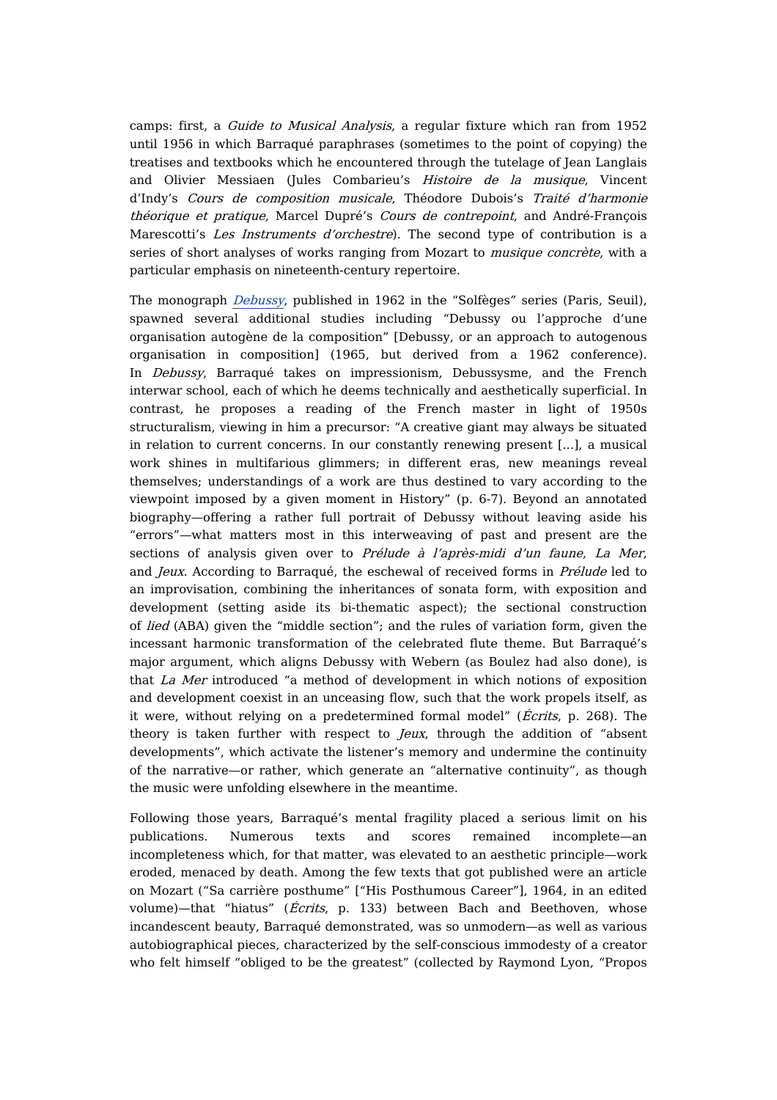camps: first, a Guide to Musical Analysis, a regular fixture which ran from 1952 until 1956 in which Barraqué paraphrases (sometimes to the point of copying) the treatises and textbooks which he encountered through the tutelage of Jean Langlais and Olivier Messiaen (Jules Combarieu's Histoire de la musique, Vincent d'Indy's Cours de composition musicale, Théodore Dubois's Traité d'harmonie théorique et pratique, Marcel Dupré's Cours de contrepoint, and André-François Marescotti's Les Instruments d'orchestre). The second type of contribution is a series of short analyses of works ranging from Mozart to *musique concrète*, with a particular emphasis on nineteenth-century repertoire.

The monograph [Debussy](https://dicteco.huma-num.fr/fr/book/43524), published in 1962 in the "Solfèges" series (Paris, Seuil), spawned several additional studies including "Debussy ou l'approche d'une organisation autogène de la composition" [Debussy, or an approach to autogenous organisation in composition] (1965, but derived from a 1962 conference). In Debussy, Barraqué takes on impressionism, Debussysme, and the French interwar school, each of which he deems technically and aesthetically superficial. In contrast, he proposes a reading of the French master in light of 1950s structuralism, viewing in him a precursor: "A creative giant may always be situated in relation to current concerns. In our constantly renewing present [...], a musical work shines in multifarious glimmers; in different eras, new meanings reveal themselves; understandings of a work are thus destined to vary according to the viewpoint imposed by a given moment in History" (p. 6-7). Beyond an annotated biography—offering a rather full portrait of Debussy without leaving aside his "errors"—what matters most in this interweaving of past and present are the sections of analysis given over to Prélude à l'après-midi d'un faune, La Mer, and Jeux. According to Barraqué, the eschewal of received forms in Prélude led to an improvisation, combining the inheritances of sonata form, with exposition and development (setting aside its bi-thematic aspect); the sectional construction of lied (ABA) given the "middle section"; and the rules of variation form, given the incessant harmonic transformation of the celebrated flute theme. But Barraqué's major argument, which aligns Debussy with Webern (as Boulez had also done), is that La Mer introduced "a method of development in which notions of exposition and development coexist in an unceasing flow, such that the work propels itself, as it were, without relying on a predetermined formal model" (Écrits, p. 268). The theory is taken further with respect to *Jeux*, through the addition of "absent" developments", which activate the listener's memory and undermine the continuity of the narrative—or rather, which generate an "alternative continuity", as though the music were unfolding elsewhere in the meantime.

Following those years, Barraqué's mental fragility placed a serious limit on his publications. Numerous texts and scores remained incomplete—an incompleteness which, for that matter, was elevated to an aesthetic principle—work eroded, menaced by death. Among the few texts that got published were an article on Mozart ("Sa carrière posthume" ["His Posthumous Career"], 1964, in an edited volume)—that "hiatus" (Écrits, p. 133) between Bach and Beethoven, whose incandescent beauty, Barraqué demonstrated, was so unmodern—as well as various autobiographical pieces, characterized by the self-conscious immodesty of a creator who felt himself "obliged to be the greatest" (collected by Raymond Lyon, "Propos